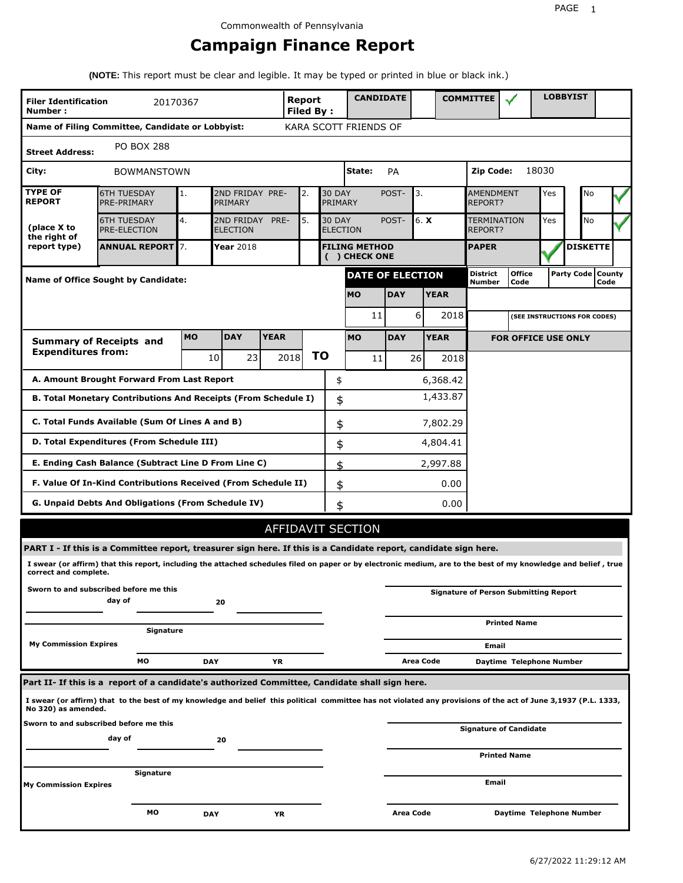# **Campaign Finance Report**

**(NOTE:** This report must be clear and legible. It may be typed or printed in blue or black ink.)

| <b>Filer Identification</b><br>Number:                            | 20170367                                                                                                                                                        |            |                               |             | Report<br><b>Filed By:</b> |    |                                  | <b>CANDIDATE</b>      |                    |                       |                                    | <b>COMMITTEE</b>       |                                              |       | <b>LOBBYIST</b>              |  |
|-------------------------------------------------------------------|-----------------------------------------------------------------------------------------------------------------------------------------------------------------|------------|-------------------------------|-------------|----------------------------|----|----------------------------------|-----------------------|--------------------|-----------------------|------------------------------------|------------------------|----------------------------------------------|-------|------------------------------|--|
|                                                                   | Name of Filing Committee, Candidate or Lobbyist:                                                                                                                |            |                               |             |                            |    |                                  | KARA SCOTT FRIENDS OF |                    |                       |                                    |                        |                                              |       |                              |  |
| <b>Street Address:</b>                                            | <b>PO BOX 288</b>                                                                                                                                               |            |                               |             |                            |    |                                  |                       |                    |                       |                                    |                        |                                              |       |                              |  |
| City:                                                             | <b>BOWMANSTOWN</b>                                                                                                                                              |            |                               |             |                            |    |                                  | State:                | PA                 |                       |                                    | Zip Code:              |                                              | 18030 |                              |  |
| <b>TYPE OF</b><br><b>REPORT</b>                                   | <b>6TH TUESDAY</b><br>PRE-PRIMARY                                                                                                                               | 1.         | 2ND FRIDAY PRE-<br>PRIMARY    |             | 2.                         |    | <b>30 DAY</b><br><b>PRIMARY</b>  |                       | 3.<br>POST-        |                       | <b>AMENDMENT</b><br><b>REPORT?</b> |                        | Yes                                          | No    |                              |  |
| (place X to<br>the right of                                       | <b>6TH TUESDAY</b><br><b>PRE-ELECTION</b>                                                                                                                       | 4.         | 2ND FRIDAY<br><b>ELECTION</b> | PRE-        | 5.                         |    | <b>30 DAY</b><br><b>ELECTION</b> |                       | 6. X<br>POST-      |                       |                                    | TERMINATION<br>REPORT? |                                              | Yes   | <b>No</b>                    |  |
| report type)                                                      | <b>ANNUAL REPORT 7.</b><br><b>Year 2018</b><br><b>FILING METHOD</b><br>( ) CHECK ONE                                                                            |            |                               |             |                            |    |                                  | <b>PAPER</b>          |                    |                       | <b>DISKETTE</b>                    |                        |                                              |       |                              |  |
|                                                                   | <b>DATE OF ELECTION</b><br><b>Name of Office Sought by Candidate:</b>                                                                                           |            |                               |             |                            |    |                                  |                       | District<br>Number | <b>Office</b><br>Code |                                    |                        | Party Code   County<br>Code                  |       |                              |  |
|                                                                   |                                                                                                                                                                 |            |                               |             |                            |    |                                  | <b>MO</b>             | <b>DAY</b>         |                       | <b>YEAR</b>                        |                        |                                              |       |                              |  |
|                                                                   |                                                                                                                                                                 |            |                               |             |                            |    |                                  | 11                    |                    | 6                     | 2018                               |                        |                                              |       | (SEE INSTRUCTIONS FOR CODES) |  |
|                                                                   | <b>Summary of Receipts and</b>                                                                                                                                  | <b>MO</b>  | <b>DAY</b>                    | <b>YEAR</b> |                            |    |                                  | <b>MO</b>             | <b>DAY</b>         |                       | <b>YEAR</b>                        |                        | <b>FOR OFFICE USE ONLY</b>                   |       |                              |  |
| <b>Expenditures from:</b>                                         |                                                                                                                                                                 |            | 10<br>231                     |             | 2018                       | ΤO |                                  | 11                    |                    | 26                    | 2018                               |                        |                                              |       |                              |  |
|                                                                   | A. Amount Brought Forward From Last Report                                                                                                                      |            |                               |             |                            |    | \$                               |                       |                    |                       | 6,368.42                           |                        |                                              |       |                              |  |
|                                                                   | B. Total Monetary Contributions And Receipts (From Schedule I)                                                                                                  |            |                               |             |                            |    | \$                               |                       |                    |                       | 1,433.87                           |                        |                                              |       |                              |  |
| C. Total Funds Available (Sum Of Lines A and B)<br>\$<br>7,802.29 |                                                                                                                                                                 |            |                               |             |                            |    |                                  |                       |                    |                       |                                    |                        |                                              |       |                              |  |
| D. Total Expenditures (From Schedule III)<br>\$<br>4,804.41       |                                                                                                                                                                 |            |                               |             |                            |    |                                  |                       |                    |                       |                                    |                        |                                              |       |                              |  |
|                                                                   | E. Ending Cash Balance (Subtract Line D From Line C)                                                                                                            |            |                               |             |                            |    | \$                               |                       |                    |                       | 2,997.88                           |                        |                                              |       |                              |  |
|                                                                   | F. Value Of In-Kind Contributions Received (From Schedule II)                                                                                                   |            |                               |             |                            |    | \$                               |                       |                    |                       | 0.00                               |                        |                                              |       |                              |  |
|                                                                   | <b>G. Unpaid Debts And Obligations (From Schedule IV)</b>                                                                                                       |            |                               |             |                            |    | \$                               |                       |                    |                       | 0.00                               |                        |                                              |       |                              |  |
|                                                                   |                                                                                                                                                                 |            |                               |             |                            |    |                                  | AFFIDAVIT SECTION     |                    |                       |                                    |                        |                                              |       |                              |  |
|                                                                   | PART I - If this is a Committee report, treasurer sign here. If this is a Candidate report, candidate sign here.                                                |            |                               |             |                            |    |                                  |                       |                    |                       |                                    |                        |                                              |       |                              |  |
| correct and complete.                                             | I swear (or affirm) that this report, including the attached schedules filed on paper or by electronic medium, are to the best of my knowledge and belief, true |            |                               |             |                            |    |                                  |                       |                    |                       |                                    |                        |                                              |       |                              |  |
|                                                                   | Sworn to and subscribed before me this<br>day of                                                                                                                |            | 20                            |             |                            |    |                                  |                       |                    |                       |                                    |                        | <b>Signature of Person Submitting Report</b> |       |                              |  |
|                                                                   |                                                                                                                                                                 |            |                               |             |                            |    |                                  |                       |                    |                       |                                    |                        | <b>Printed Name</b>                          |       |                              |  |
| <b>My Commission Expires</b>                                      | Signature                                                                                                                                                       |            |                               |             |                            |    |                                  |                       |                    |                       |                                    | Email                  |                                              |       |                              |  |
|                                                                   | МO                                                                                                                                                              | <b>DAY</b> |                               | ΥR          |                            |    |                                  |                       |                    | Area Code             |                                    |                        | Daytime Telephone Number                     |       |                              |  |
|                                                                   | Part II- If this is a report of a candidate's authorized Committee, Candidate shall sign here.                                                                  |            |                               |             |                            |    |                                  |                       |                    |                       |                                    |                        |                                              |       |                              |  |
| No 320) as amended.                                               | I swear (or affirm) that to the best of my knowledge and belief this political committee has not violated any provisions of the act of June 3,1937 (P.L. 1333,  |            |                               |             |                            |    |                                  |                       |                    |                       |                                    |                        |                                              |       |                              |  |
|                                                                   | Sworn to and subscribed before me this                                                                                                                          |            |                               |             |                            |    |                                  |                       |                    |                       |                                    |                        | <b>Signature of Candidate</b>                |       |                              |  |
|                                                                   | day of                                                                                                                                                          |            | 20                            |             |                            |    |                                  |                       |                    |                       |                                    |                        | <b>Printed Name</b>                          |       |                              |  |
|                                                                   | Signature                                                                                                                                                       |            |                               |             |                            |    |                                  |                       |                    |                       |                                    |                        |                                              |       |                              |  |
| <b>My Commission Expires</b>                                      |                                                                                                                                                                 |            |                               |             |                            |    |                                  |                       |                    |                       |                                    | Email                  |                                              |       |                              |  |
|                                                                   | мо                                                                                                                                                              | <b>DAY</b> |                               | ΥR          |                            |    |                                  |                       | Area Code          |                       |                                    |                        | Daytime Telephone Number                     |       |                              |  |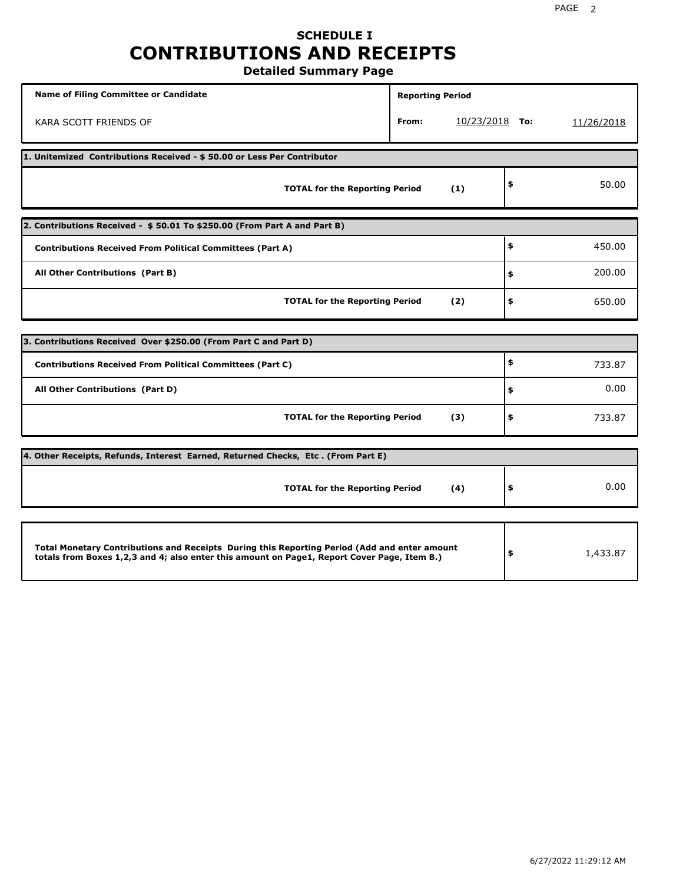# **SCHEDULE I CONTRIBUTIONS AND RECEIPTS**

**Detailed Summary Page**

| <b>Name of Filing Committee or Candidate</b>                                                                                                                                                | <b>Reporting Period</b> |                |                |
|---------------------------------------------------------------------------------------------------------------------------------------------------------------------------------------------|-------------------------|----------------|----------------|
| KARA SCOTT FRIENDS OF                                                                                                                                                                       | From:                   | 10/23/2018 То: | 11/26/2018     |
| 1. Unitemized Contributions Received - \$50.00 or Less Per Contributor                                                                                                                      |                         |                |                |
| <b>TOTAL for the Reporting Period</b>                                                                                                                                                       |                         | (1)            | \$<br>50.00    |
| 2. Contributions Received - \$50.01 To \$250.00 (From Part A and Part B)                                                                                                                    |                         |                |                |
| <b>Contributions Received From Political Committees (Part A)</b>                                                                                                                            |                         |                | \$<br>450.00   |
| All Other Contributions (Part B)                                                                                                                                                            |                         |                | \$<br>200.00   |
| <b>TOTAL for the Reporting Period</b>                                                                                                                                                       | \$<br>650.00            |                |                |
| 3. Contributions Received Over \$250.00 (From Part C and Part D)                                                                                                                            |                         |                |                |
| <b>Contributions Received From Political Committees (Part C)</b>                                                                                                                            |                         |                | \$<br>733.87   |
| All Other Contributions (Part D)                                                                                                                                                            |                         |                | \$<br>0.00     |
| <b>TOTAL for the Reporting Period</b>                                                                                                                                                       |                         | (3)            | \$<br>733.87   |
| 4. Other Receipts, Refunds, Interest Earned, Returned Checks, Etc. (From Part E)                                                                                                            |                         |                |                |
| <b>TOTAL for the Reporting Period</b>                                                                                                                                                       |                         | (4)            | \$<br>0.00     |
|                                                                                                                                                                                             |                         |                |                |
| Total Monetary Contributions and Receipts During this Reporting Period (Add and enter amount<br>totals from Boxes 1,2,3 and 4; also enter this amount on Page1, Report Cover Page, Item B.) |                         |                | \$<br>1,433.87 |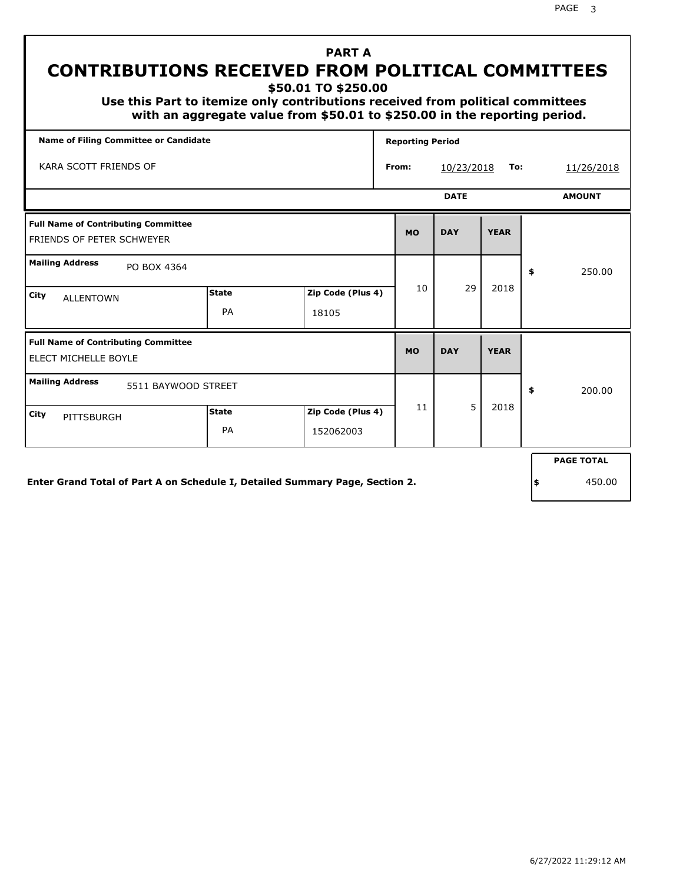**\$50.01 TO \$250.00**

 **Use this Part to itemize only contributions received from political committees with an aggregate value from \$50.01 to \$250.00 in the reporting period.**

| Name of Filing Committee or Candidate                                        |                            |                   |  |           | <b>Reporting Period</b> |             |     |                   |
|------------------------------------------------------------------------------|----------------------------|-------------------|--|-----------|-------------------------|-------------|-----|-------------------|
| KARA SCOTT FRIENDS OF                                                        | 10/23/2018<br>To:<br>From: |                   |  |           | 11/26/2018              |             |     |                   |
|                                                                              |                            |                   |  |           | <b>DATE</b>             |             |     | <b>AMOUNT</b>     |
| <b>Full Name of Contributing Committee</b><br>FRIENDS OF PETER SCHWEYER      |                            |                   |  | <b>MO</b> | <b>DAY</b>              | <b>YEAR</b> |     |                   |
| <b>Mailing Address</b><br>PO BOX 4364                                        |                            |                   |  |           |                         |             | \$  | 250.00            |
| City<br><b>ALLENTOWN</b>                                                     | <b>State</b>               | Zip Code (Plus 4) |  | 10        | 29                      | 2018        |     |                   |
|                                                                              | PA                         | 18105             |  |           |                         |             |     |                   |
| <b>Full Name of Contributing Committee</b><br><b>ELECT MICHELLE BOYLE</b>    |                            |                   |  | <b>MO</b> | <b>DAY</b>              | <b>YEAR</b> |     |                   |
| <b>Mailing Address</b><br>5511 BAYWOOD STREET                                |                            |                   |  |           |                         |             | \$  | 200.00            |
| City<br>PITTSBURGH                                                           | <b>State</b>               | Zip Code (Plus 4) |  | 11        | 5                       | 2018        |     |                   |
|                                                                              | PA                         | 152062003         |  |           |                         |             |     |                   |
|                                                                              |                            |                   |  |           |                         |             |     | <b>PAGE TOTAL</b> |
| Enter Grand Total of Part A on Schedule I, Detailed Summary Page, Section 2. |                            |                   |  |           |                         |             | ۱\$ | 450.00            |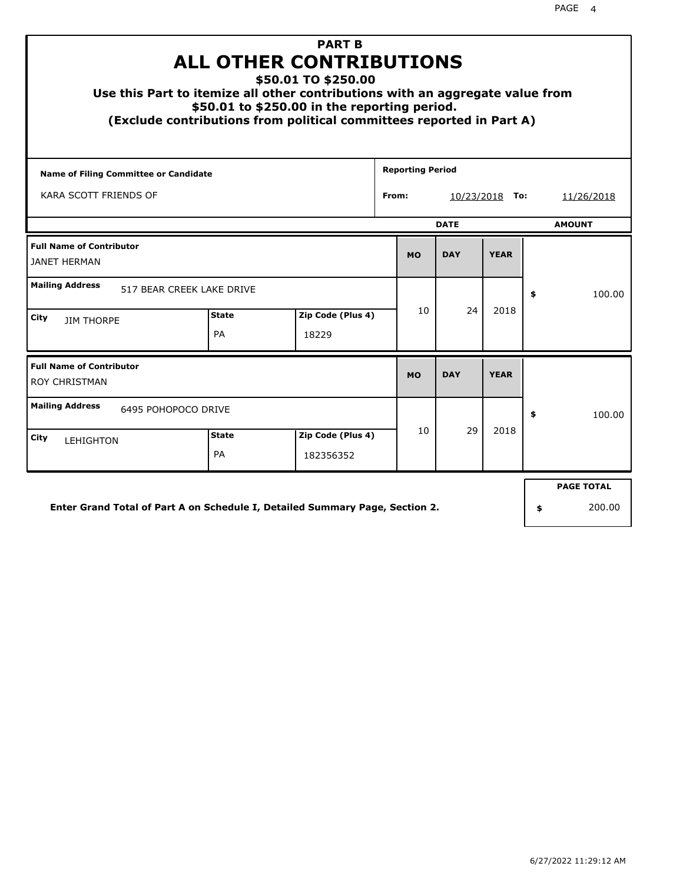| Use this Part to itemize all other contributions with an aggregate value from<br>(Exclude contributions from political committees reported in Part A) | <b>ALL OTHER CONTRIBUTIONS</b><br>\$50.01 to \$250.00 in the reporting period. | <b>PART B</b><br>\$50.01 TO \$250.00 |  |                         |            |             |    |                             |
|-------------------------------------------------------------------------------------------------------------------------------------------------------|--------------------------------------------------------------------------------|--------------------------------------|--|-------------------------|------------|-------------|----|-----------------------------|
| <b>Name of Filing Committee or Candidate</b>                                                                                                          |                                                                                |                                      |  | <b>Reporting Period</b> |            |             |    |                             |
| KARA SCOTT FRIENDS OF                                                                                                                                 | From:<br>$10/23/2018$ To:                                                      |                                      |  |                         | 11/26/2018 |             |    |                             |
|                                                                                                                                                       |                                                                                | <b>AMOUNT</b>                        |  |                         |            |             |    |                             |
| <b>Full Name of Contributor</b><br><b>JANET HERMAN</b>                                                                                                |                                                                                |                                      |  | <b>MO</b>               | <b>DAY</b> | <b>YEAR</b> |    |                             |
| <b>Mailing Address</b><br>517 BEAR CREEK LAKE DRIVE                                                                                                   |                                                                                |                                      |  |                         |            |             | \$ | 100.00                      |
| City<br><b>JIM THORPE</b>                                                                                                                             | <b>State</b><br>PA                                                             | Zip Code (Plus 4)<br>18229           |  | 10                      | 24         | 2018        |    |                             |
| <b>Full Name of Contributor</b><br><b>ROY CHRISTMAN</b>                                                                                               |                                                                                |                                      |  | <b>MO</b>               | <b>DAY</b> | <b>YEAR</b> |    |                             |
| <b>Mailing Address</b><br>6495 POHOPOCO DRIVE                                                                                                         |                                                                                |                                      |  |                         |            |             | \$ | 100.00                      |
| City<br><b>LEHIGHTON</b>                                                                                                                              | <b>State</b><br>PA                                                             | Zip Code (Plus 4)<br>182356352       |  | 10                      | 29         | 2018        |    |                             |
| Enter Grand Total of Part A on Schedule I, Detailed Summary Page, Section 2.                                                                          |                                                                                |                                      |  |                         |            |             |    | <b>PAGE TOTAL</b><br>200.00 |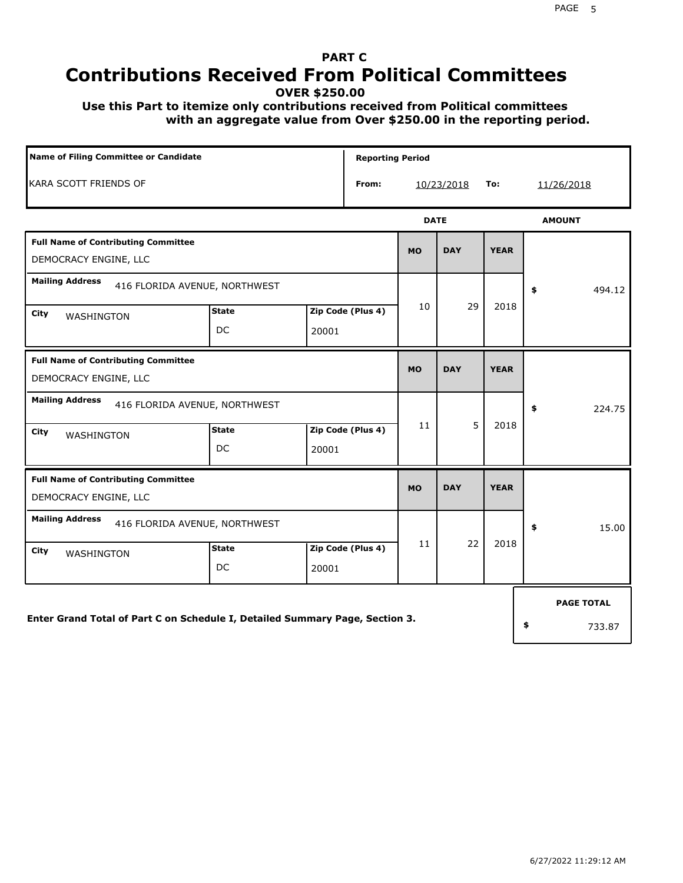## **PART C Contributions Received From Political Committees**

**OVER \$250.00**

 **Use this Part to itemize only contributions received from Political committees with an aggregate value from Over \$250.00 in the reporting period.**

| Name of Filing Committee or Candidate                                        |                    |       | <b>Reporting Period</b> |             |            |             |    |                   |
|------------------------------------------------------------------------------|--------------------|-------|-------------------------|-------------|------------|-------------|----|-------------------|
| KARA SCOTT FRIENDS OF                                                        |                    |       | From:                   |             | 10/23/2018 | To:         |    | 11/26/2018        |
|                                                                              |                    |       |                         | <b>DATE</b> |            |             |    | <b>AMOUNT</b>     |
| <b>Full Name of Contributing Committee</b><br>DEMOCRACY ENGINE, LLC          |                    |       |                         | <b>MO</b>   | <b>DAY</b> | <b>YEAR</b> |    |                   |
| <b>Mailing Address</b><br>416 FLORIDA AVENUE, NORTHWEST                      |                    |       |                         |             |            |             | \$ | 494.12            |
| City<br>WASHINGTON                                                           | <b>State</b><br>DC | 20001 | Zip Code (Plus 4)       | 10          | 29         | 2018        |    |                   |
| <b>Full Name of Contributing Committee</b><br>DEMOCRACY ENGINE, LLC          |                    |       |                         | <b>MO</b>   | <b>DAY</b> | <b>YEAR</b> |    |                   |
| <b>Mailing Address</b><br>416 FLORIDA AVENUE, NORTHWEST                      |                    |       |                         |             |            |             | \$ | 224.75            |
| City<br>WASHINGTON                                                           | <b>State</b><br>DC | 20001 | Zip Code (Plus 4)       | 11          | 5          | 2018        |    |                   |
| <b>Full Name of Contributing Committee</b><br>DEMOCRACY ENGINE, LLC          |                    |       |                         | <b>MO</b>   | <b>DAY</b> | <b>YEAR</b> |    |                   |
| <b>Mailing Address</b><br>416 FLORIDA AVENUE, NORTHWEST                      |                    |       |                         |             |            |             | \$ | 15.00             |
| City<br>WASHINGTON                                                           | <b>State</b><br>DC | 20001 | Zip Code (Plus 4)       | 11          | 22         | 2018        |    |                   |
|                                                                              |                    |       |                         |             |            |             |    | <b>PAGE TOTAL</b> |
| Enter Grand Total of Part C on Schedule I, Detailed Summary Page, Section 3. |                    |       |                         |             |            |             | \$ | 733.87            |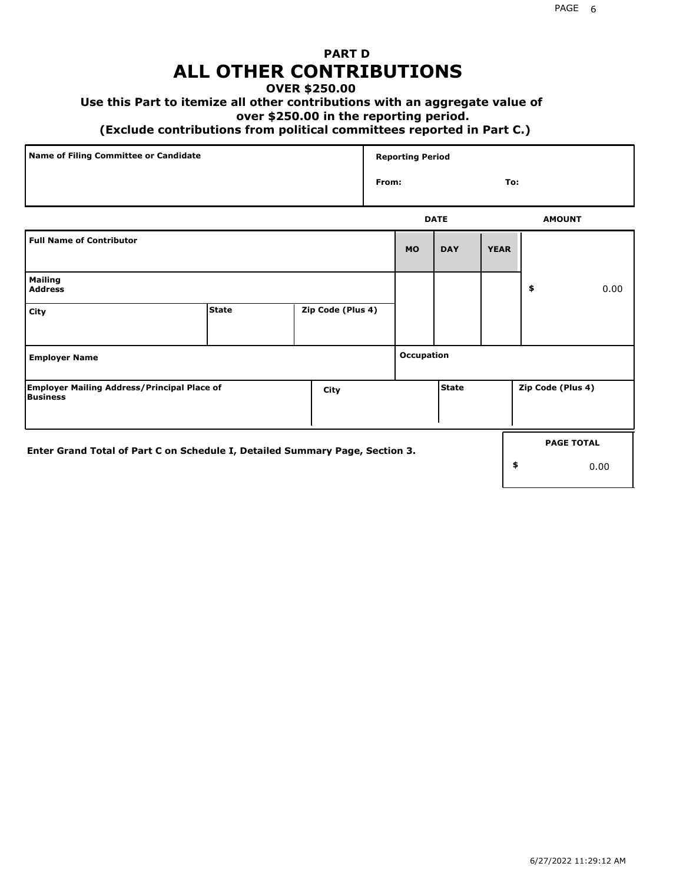## **PART D ALL OTHER CONTRIBUTIONS**

## **OVER \$250.00**

### **Use this Part to itemize all other contributions with an aggregate value of**

#### **over \$250.00 in the reporting period.**

#### **(Exclude contributions from political committees reported in Part C.)**

| Name of Filing Committee or Candidate | <b>Reporting Period</b> |               |
|---------------------------------------|-------------------------|---------------|
|                                       | From:                   | To:           |
|                                       | <b>DATE</b>             | <b>AMOUNT</b> |

|                                                                              |              |                   |            | <b>UAIL</b> |             | <b>AMOUNT</b>     |                           |
|------------------------------------------------------------------------------|--------------|-------------------|------------|-------------|-------------|-------------------|---------------------------|
| <b>Full Name of Contributor</b>                                              |              |                   | <b>MO</b>  | <b>DAY</b>  | <b>YEAR</b> |                   |                           |
| <b>Mailing</b><br><b>Address</b>                                             |              |                   |            |             |             | \$                | 0.00                      |
| City                                                                         | <b>State</b> | Zip Code (Plus 4) |            |             |             |                   |                           |
| <b>Employer Name</b>                                                         |              |                   | Occupation |             |             |                   |                           |
| <b>Employer Mailing Address/Principal Place of</b><br>Business               |              | City              |            | State       |             | Zip Code (Plus 4) |                           |
| Enter Grand Total of Part C on Schedule I, Detailed Summary Page, Section 3. |              |                   |            |             | \$          |                   | <b>PAGE TOTAL</b><br>0.00 |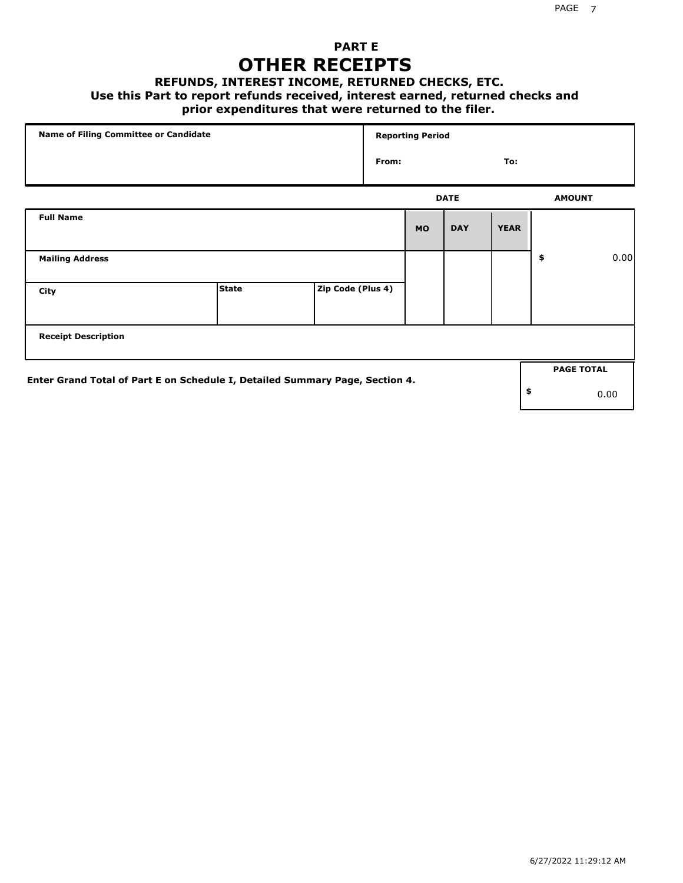## **PART E OTHER RECEIPTS**

#### **REFUNDS, INTEREST INCOME, RETURNED CHECKS, ETC.**

 **Use this Part to report refunds received, interest earned, returned checks and**

### **prior expenditures that were returned to the filer.**

| Name of Filing Committee or Candidate                                        |              |                   |       | <b>Reporting Period</b> |             |             |                   |      |
|------------------------------------------------------------------------------|--------------|-------------------|-------|-------------------------|-------------|-------------|-------------------|------|
|                                                                              |              |                   | From: |                         |             | To:         |                   |      |
|                                                                              |              |                   |       |                         | <b>DATE</b> |             | <b>AMOUNT</b>     |      |
| <b>Full Name</b>                                                             |              |                   |       | <b>MO</b>               | <b>DAY</b>  | <b>YEAR</b> |                   |      |
| <b>Mailing Address</b>                                                       |              |                   |       |                         |             |             | \$                | 0.00 |
| City                                                                         | <b>State</b> | Zip Code (Plus 4) |       |                         |             |             |                   |      |
| <b>Receipt Description</b>                                                   |              |                   |       |                         |             |             |                   |      |
| Enter Grand Total of Part E on Schedule I, Detailed Summary Page, Section 4. |              |                   |       |                         |             |             | <b>PAGE TOTAL</b> |      |
|                                                                              |              |                   |       |                         |             |             | \$<br>0.00        |      |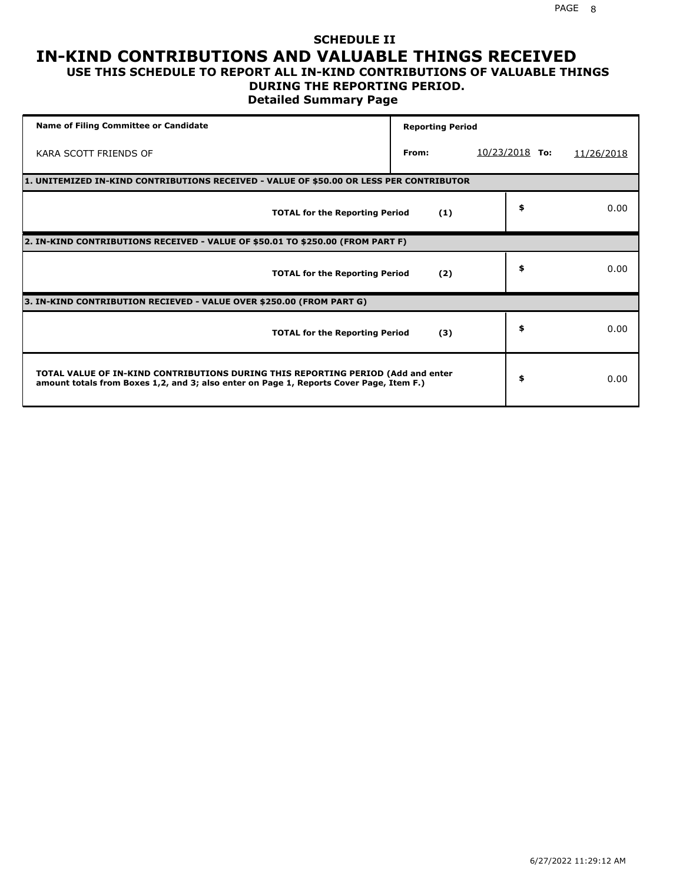### **SCHEDULE II IN-KIND CONTRIBUTIONS AND VALUABLE THINGS RECEIVED USE THIS SCHEDULE TO REPORT ALL IN-KIND CONTRIBUTIONS OF VALUABLE THINGS**

### **DURING THE REPORTING PERIOD.**

**Detailed Summary Page**

| <b>Name of Filing Committee or Candidate</b>                                                                                                                                | <b>Reporting Period</b> |                  |            |
|-----------------------------------------------------------------------------------------------------------------------------------------------------------------------------|-------------------------|------------------|------------|
| KARA SCOTT FRIENDS OF                                                                                                                                                       | From:                   | $10/23/2018$ To: | 11/26/2018 |
| 1. UNITEMIZED IN-KIND CONTRIBUTIONS RECEIVED - VALUE OF \$50.00 OR LESS PER CONTRIBUTOR                                                                                     |                         |                  |            |
| <b>TOTAL for the Reporting Period</b>                                                                                                                                       | (1)                     | \$               | 0.00       |
| 2. IN-KIND CONTRIBUTIONS RECEIVED - VALUE OF \$50.01 TO \$250.00 (FROM PART F)                                                                                              |                         |                  |            |
| <b>TOTAL for the Reporting Period</b>                                                                                                                                       | (2)                     | \$               | 0.00       |
| 3. IN-KIND CONTRIBUTION RECIEVED - VALUE OVER \$250.00 (FROM PART G)                                                                                                        |                         |                  |            |
| <b>TOTAL for the Reporting Period</b>                                                                                                                                       | (3)                     | \$               | 0.00       |
| TOTAL VALUE OF IN-KIND CONTRIBUTIONS DURING THIS REPORTING PERIOD (Add and enter<br>amount totals from Boxes 1,2, and 3; also enter on Page 1, Reports Cover Page, Item F.) |                         | \$               | 0.00       |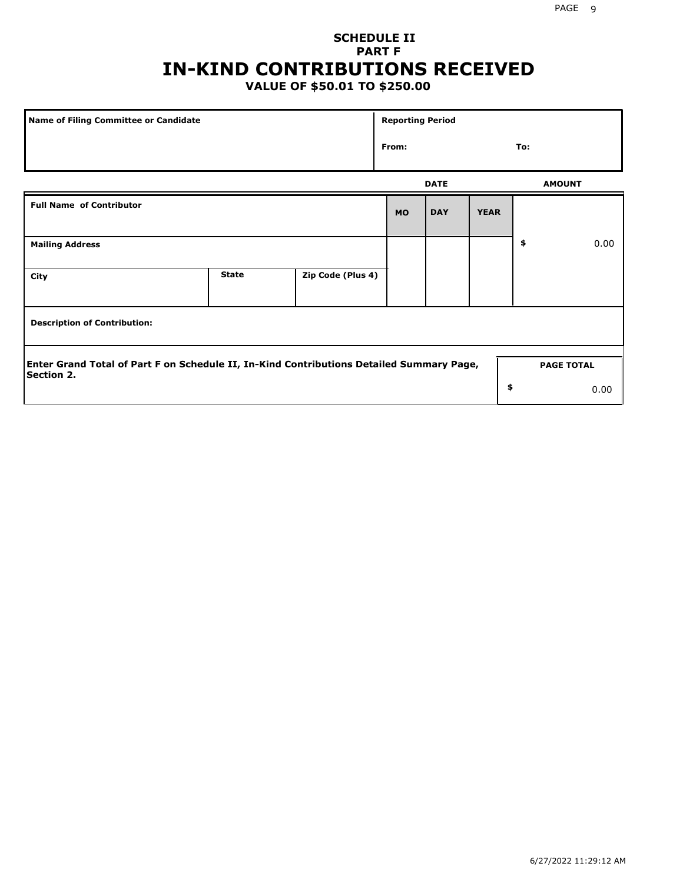## **SCHEDULE II PART F IN-KIND CONTRIBUTIONS RECEIVED**

## **VALUE OF \$50.01 TO \$250.00**

| Name of Filing Committee or Candidate                                                                         |              |                   |           | <b>Reporting Period</b> |             |                   |      |
|---------------------------------------------------------------------------------------------------------------|--------------|-------------------|-----------|-------------------------|-------------|-------------------|------|
|                                                                                                               | From:        |                   | To:       |                         |             |                   |      |
|                                                                                                               |              |                   |           | <b>DATE</b>             |             | <b>AMOUNT</b>     |      |
| <b>Full Name of Contributor</b>                                                                               |              |                   | <b>MO</b> | <b>DAY</b>              | <b>YEAR</b> |                   |      |
| <b>Mailing Address</b>                                                                                        |              |                   |           |                         |             | \$                | 0.00 |
| City                                                                                                          | <b>State</b> | Zip Code (Plus 4) |           |                         |             |                   |      |
| <b>Description of Contribution:</b>                                                                           |              |                   |           |                         |             |                   |      |
| Enter Grand Total of Part F on Schedule II, In-Kind Contributions Detailed Summary Page,<br><b>Section 2.</b> |              |                   |           |                         |             | <b>PAGE TOTAL</b> |      |
|                                                                                                               |              |                   |           |                         | \$          |                   | 0.00 |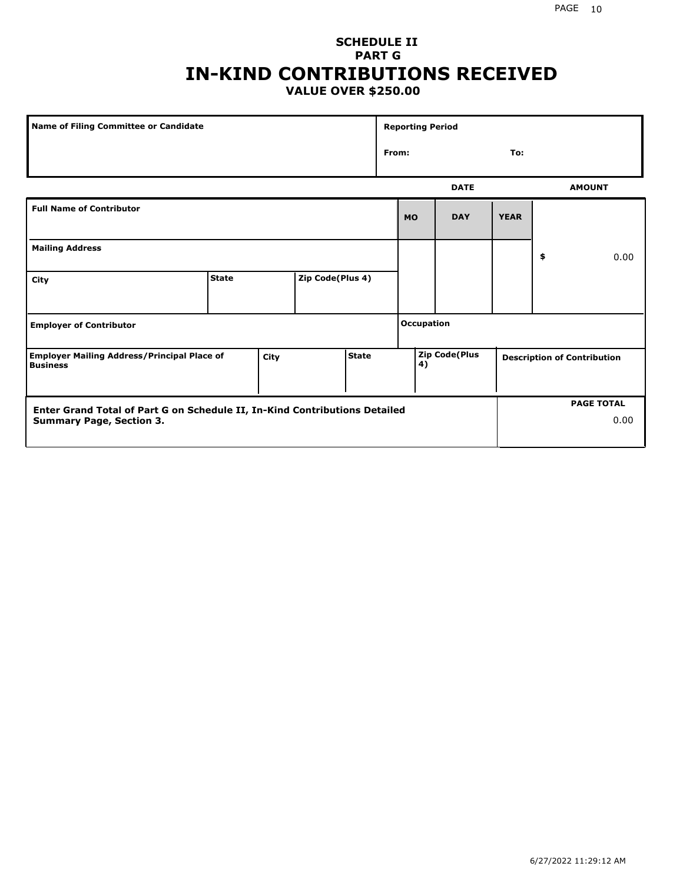### **SCHEDULE II PART G IN-KIND CONTRIBUTIONS RECEIVED VALUE OVER \$250.00**

| Name of Filing Committee or Candidate                                 |              |      |                  |                   | <b>Reporting Period</b> |               |             |    |                                    |
|-----------------------------------------------------------------------|--------------|------|------------------|-------------------|-------------------------|---------------|-------------|----|------------------------------------|
|                                                                       |              |      |                  |                   | From:<br>To:            |               |             |    |                                    |
|                                                                       |              |      |                  |                   |                         | <b>DATE</b>   |             |    | <b>AMOUNT</b>                      |
| <b>Full Name of Contributor</b>                                       |              |      |                  |                   | <b>MO</b>               | <b>DAY</b>    | <b>YEAR</b> |    |                                    |
| <b>Mailing Address</b>                                                |              |      |                  |                   |                         |               |             | \$ | 0.00                               |
| City                                                                  | <b>State</b> |      | Zip Code(Plus 4) |                   |                         |               |             |    |                                    |
| <b>Employer of Contributor</b>                                        |              |      |                  | <b>Occupation</b> |                         |               |             |    |                                    |
| <b>Employer Mailing Address/Principal Place of</b><br><b>Business</b> |              | City |                  | <b>State</b>      | 4)                      | Zip Code(Plus |             |    | <b>Description of Contribution</b> |

| <b>Enter Grand Total of Part G on Schedule II, In-Kind Contributions Detailed</b> |  | <b>PAGE TOTAL</b> |
|-----------------------------------------------------------------------------------|--|-------------------|
| <b>Summary Page, Section 3.</b>                                                   |  | 0.00              |
|                                                                                   |  |                   |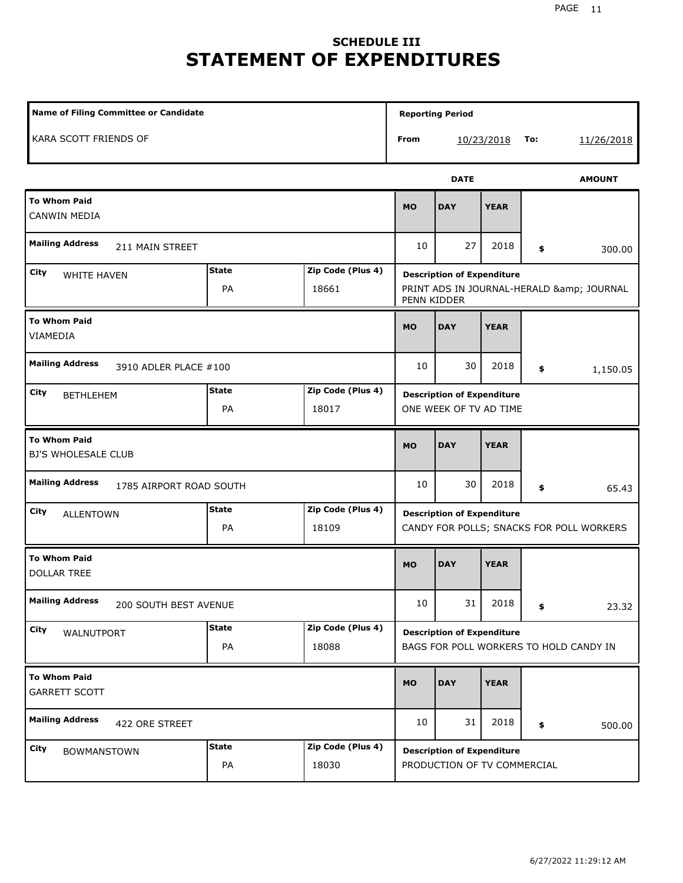## **SCHEDULE III STATEMENT OF EXPENDITURES**

| Name of Filing Committee or Candidate             |                    |                            | <b>Reporting Period</b>                                                                   |                   |             |    |               |
|---------------------------------------------------|--------------------|----------------------------|-------------------------------------------------------------------------------------------|-------------------|-------------|----|---------------|
| KARA SCOTT FRIENDS OF                             |                    |                            | From                                                                                      | To:<br>10/23/2018 |             |    | 11/26/2018    |
|                                                   |                    |                            |                                                                                           | <b>DATE</b>       |             |    | <b>AMOUNT</b> |
| <b>To Whom Paid</b><br>CANWIN MEDIA               |                    |                            | <b>MO</b>                                                                                 | <b>DAY</b>        | <b>YEAR</b> |    |               |
| <b>Mailing Address</b><br>211 MAIN STREET         |                    |                            | 10                                                                                        | 27                | 2018        | \$ | 300.00        |
| City<br><b>WHITE HAVEN</b>                        | <b>State</b><br>PA | Zip Code (Plus 4)<br>18661 | <b>Description of Expenditure</b><br>PRINT ADS IN JOURNAL-HERALD & JOURNAL<br>PENN KIDDER |                   |             |    |               |
| <b>To Whom Paid</b><br>VIAMEDIA                   |                    |                            | <b>MO</b>                                                                                 | <b>DAY</b>        | <b>YEAR</b> |    |               |
| <b>Mailing Address</b><br>3910 ADLER PLACE #100   |                    |                            | 10                                                                                        | 30                | 2018        | \$ | 1,150.05      |
| City<br><b>BETHLEHEM</b>                          | <b>State</b><br>PA | Zip Code (Plus 4)<br>18017 | <b>Description of Expenditure</b><br>ONE WEEK OF TV AD TIME                               |                   |             |    |               |
| <b>To Whom Paid</b><br>BJ'S WHOLESALE CLUB        |                    |                            | <b>MO</b>                                                                                 | <b>DAY</b>        | <b>YEAR</b> |    |               |
| <b>Mailing Address</b><br>1785 AIRPORT ROAD SOUTH |                    |                            | 10                                                                                        | 30                | 2018        | \$ | 65.43         |
| City<br><b>ALLENTOWN</b>                          | <b>State</b><br>PA | Zip Code (Plus 4)<br>18109 | <b>Description of Expenditure</b><br>CANDY FOR POLLS; SNACKS FOR POLL WORKERS             |                   |             |    |               |
| <b>To Whom Paid</b><br><b>DOLLAR TREE</b>         |                    |                            | <b>MO</b>                                                                                 | <b>DAY</b>        | <b>YEAR</b> |    |               |
| <b>Mailing Address</b><br>200 SOUTH BEST AVENUE   |                    |                            | $10\,$                                                                                    | 31                | 2018        | \$ | 23.32         |
| City<br>WALNUTPORT                                | <b>State</b><br>PA | Zip Code (Plus 4)<br>18088 | <b>Description of Expenditure</b><br>BAGS FOR POLL WORKERS TO HOLD CANDY IN               |                   |             |    |               |
| <b>To Whom Paid</b><br>GARRETT SCOTT              |                    |                            | <b>MO</b>                                                                                 | <b>DAY</b>        | <b>YEAR</b> |    |               |
| <b>Mailing Address</b><br>422 ORE STREET          |                    |                            | 10                                                                                        | 31                | 2018        | \$ | 500.00        |
| City<br><b>BOWMANSTOWN</b>                        | <b>State</b><br>PA | Zip Code (Plus 4)<br>18030 | <b>Description of Expenditure</b><br>PRODUCTION OF TV COMMERCIAL                          |                   |             |    |               |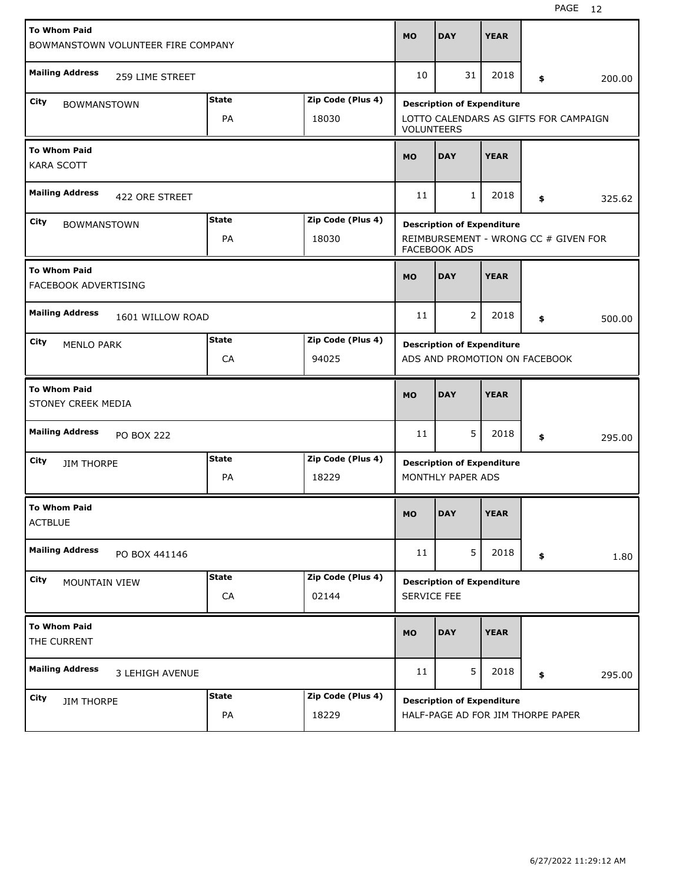| <b>To Whom Paid</b><br>BOWMANSTOWN VOLUNTEER FIRE COMPANY      |                    |                   | <b>MO</b>                                                  | <b>DAY</b>                        | <b>YEAR</b> |    |        |
|----------------------------------------------------------------|--------------------|-------------------|------------------------------------------------------------|-----------------------------------|-------------|----|--------|
|                                                                |                    |                   |                                                            |                                   |             |    |        |
| <b>Mailing Address</b><br>259 LIME STREET                      |                    |                   | 10                                                         | 31                                | 2018        | \$ | 200.00 |
| <b>City</b><br><b>BOWMANSTOWN</b>                              | <b>State</b><br>PA | Zip Code (Plus 4) | <b>Description of Expenditure</b>                          |                                   |             |    |        |
|                                                                | 18030              |                   | LOTTO CALENDARS AS GIFTS FOR CAMPAIGN<br><b>VOLUNTEERS</b> |                                   |             |    |        |
| <b>To Whom Paid</b><br><b>KARA SCOTT</b>                       |                    |                   | <b>MO</b>                                                  | <b>DAY</b>                        | <b>YEAR</b> |    |        |
| <b>Mailing Address</b><br>422 ORE STREET                       |                    |                   | 11                                                         | $\mathbf{1}$                      | 2018        | \$ | 325.62 |
| City<br><b>BOWMANSTOWN</b>                                     | <b>State</b>       | Zip Code (Plus 4) | <b>Description of Expenditure</b>                          |                                   |             |    |        |
|                                                                | PA                 | 18030             | REIMBURSEMENT - WRONG CC # GIVEN FOR<br>FACEBOOK ADS       |                                   |             |    |        |
| <b>To Whom Paid</b><br>FACEBOOK ADVERTISING                    |                    |                   | <b>MO</b>                                                  | <b>DAY</b>                        | <b>YEAR</b> |    |        |
| <b>Mailing Address</b><br>1601 WILLOW ROAD                     |                    |                   | 11                                                         | 2                                 | 2018        | \$ | 500.00 |
| City<br><b>MENLO PARK</b>                                      | <b>State</b>       | Zip Code (Plus 4) | <b>Description of Expenditure</b>                          |                                   |             |    |        |
|                                                                | CA                 | 94025             | ADS AND PROMOTION ON FACEBOOK                              |                                   |             |    |        |
| <b>To Whom Paid</b><br>STONEY CREEK MEDIA                      |                    |                   | <b>MO</b>                                                  | <b>DAY</b>                        | <b>YEAR</b> |    |        |
| <b>Mailing Address</b><br><b>PO BOX 222</b>                    |                    |                   | 11                                                         | 5                                 | 2018        | \$ | 295.00 |
| <b>State</b><br>Zip Code (Plus 4)<br>City<br><b>JIM THORPE</b> |                    |                   | <b>Description of Expenditure</b>                          |                                   |             |    |        |
|                                                                | PA                 | 18229             | MONTHLY PAPER ADS                                          |                                   |             |    |        |
| <b>To Whom Paid</b><br><b>ACTBLUE</b>                          |                    |                   | <b>MO</b>                                                  | <b>DAY</b>                        | <b>YEAR</b> |    |        |
| <b>Mailing Address</b><br>PO BOX 441146                        |                    |                   | 11                                                         | 5                                 | 2018        | \$ | 1.80   |
| City<br>MOUNTAIN VIEW                                          | <b>State</b>       | Zip Code (Plus 4) | <b>Description of Expenditure</b>                          |                                   |             |    |        |
|                                                                | ${\sf CA}$         | 02144             | SERVICE FEE                                                |                                   |             |    |        |
| <b>To Whom Paid</b><br>THE CURRENT                             |                    |                   |                                                            |                                   |             |    |        |
|                                                                |                    |                   | <b>MO</b>                                                  | <b>DAY</b>                        | <b>YEAR</b> |    |        |
| <b>Mailing Address</b><br>3 LEHIGH AVENUE                      |                    |                   | 11                                                         | 5                                 | 2018        | \$ | 295.00 |
| <b>City</b><br><b>JIM THORPE</b>                               | <b>State</b>       | Zip Code (Plus 4) |                                                            | <b>Description of Expenditure</b> |             |    |        |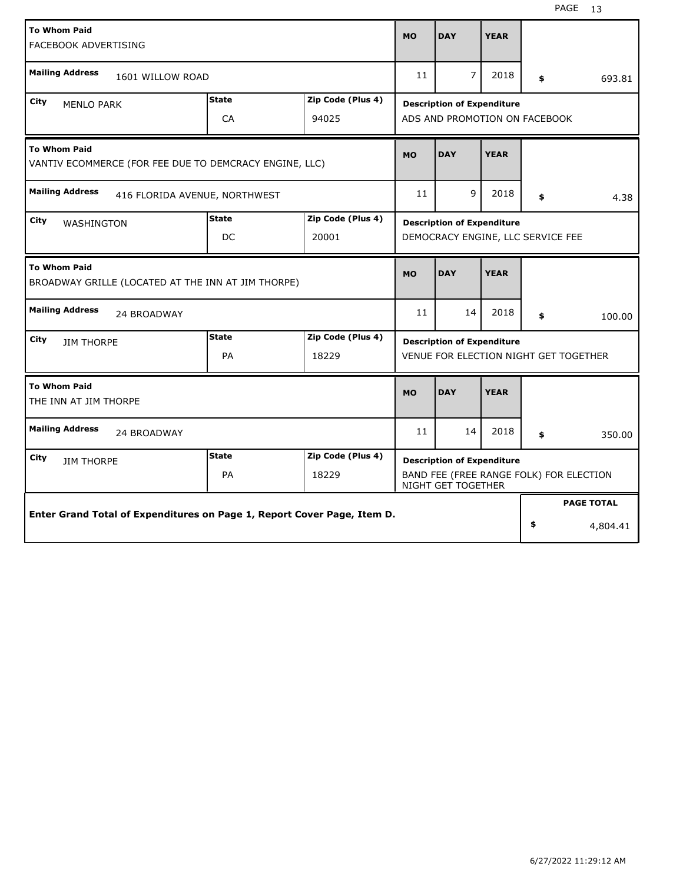| <b>To Whom Paid</b>                                                       |              |                   |                                                                                                    |                                   |                   |        |          |
|---------------------------------------------------------------------------|--------------|-------------------|----------------------------------------------------------------------------------------------------|-----------------------------------|-------------------|--------|----------|
| FACEBOOK ADVERTISING                                                      |              |                   | <b>MO</b>                                                                                          | <b>DAY</b>                        | <b>YEAR</b>       |        |          |
|                                                                           |              |                   |                                                                                                    |                                   |                   |        |          |
| <b>Mailing Address</b><br>1601 WILLOW ROAD                                |              |                   | 11                                                                                                 | $\overline{7}$                    | 2018              | \$     | 693.81   |
| <b>State</b><br>City<br><b>MENLO PARK</b>                                 |              | Zip Code (Plus 4) |                                                                                                    | <b>Description of Expenditure</b> |                   |        |          |
|                                                                           | CA           | 94025             | ADS AND PROMOTION ON FACEBOOK                                                                      |                                   |                   |        |          |
| <b>To Whom Paid</b>                                                       |              |                   | <b>MO</b>                                                                                          | <b>DAY</b>                        | <b>YEAR</b>       |        |          |
| VANTIV ECOMMERCE (FOR FEE DUE TO DEMCRACY ENGINE, LLC)                    |              |                   |                                                                                                    |                                   |                   |        |          |
| <b>Mailing Address</b><br>416 FLORIDA AVENUE, NORTHWEST                   |              |                   | 11                                                                                                 | 9                                 | 2018              | \$     | 4.38     |
| City<br>WASHINGTON                                                        | <b>State</b> | Zip Code (Plus 4) | <b>Description of Expenditure</b><br>DEMOCRACY ENGINE, LLC SERVICE FEE                             |                                   |                   |        |          |
|                                                                           | DC           | 20001             |                                                                                                    |                                   |                   |        |          |
| <b>To Whom Paid</b><br>BROADWAY GRILLE (LOCATED AT THE INN AT JIM THORPE) |              |                   | <b>MO</b>                                                                                          | <b>DAY</b>                        | <b>YEAR</b>       |        |          |
| <b>Mailing Address</b><br>24 BROADWAY                                     |              | 11                | 14                                                                                                 | 2018                              | \$                | 100.00 |          |
| City<br><b>JIM THORPE</b>                                                 | <b>State</b> | Zip Code (Plus 4) |                                                                                                    | <b>Description of Expenditure</b> |                   |        |          |
|                                                                           | PA           | 18229             | VENUE FOR ELECTION NIGHT GET TOGETHER                                                              |                                   |                   |        |          |
| <b>To Whom Paid</b>                                                       |              |                   | <b>MO</b>                                                                                          | <b>DAY</b>                        | <b>YEAR</b>       |        |          |
| THE INN AT JIM THORPE                                                     |              |                   |                                                                                                    |                                   |                   |        |          |
| <b>Mailing Address</b><br>24 BROADWAY                                     |              |                   | 11                                                                                                 | 14                                | 2018              | \$     | 350.00   |
| City<br><b>JIM THORPE</b>                                                 | <b>State</b> | Zip Code (Plus 4) | <b>Description of Expenditure</b><br>BAND FEE (FREE RANGE FOLK) FOR ELECTION<br>NIGHT GET TOGETHER |                                   |                   |        |          |
|                                                                           | PA           | 18229             |                                                                                                    |                                   |                   |        |          |
|                                                                           |              |                   |                                                                                                    |                                   | <b>PAGE TOTAL</b> |        |          |
| Enter Grand Total of Expenditures on Page 1, Report Cover Page, Item D.   |              |                   |                                                                                                    |                                   |                   | \$     | 4,804.41 |